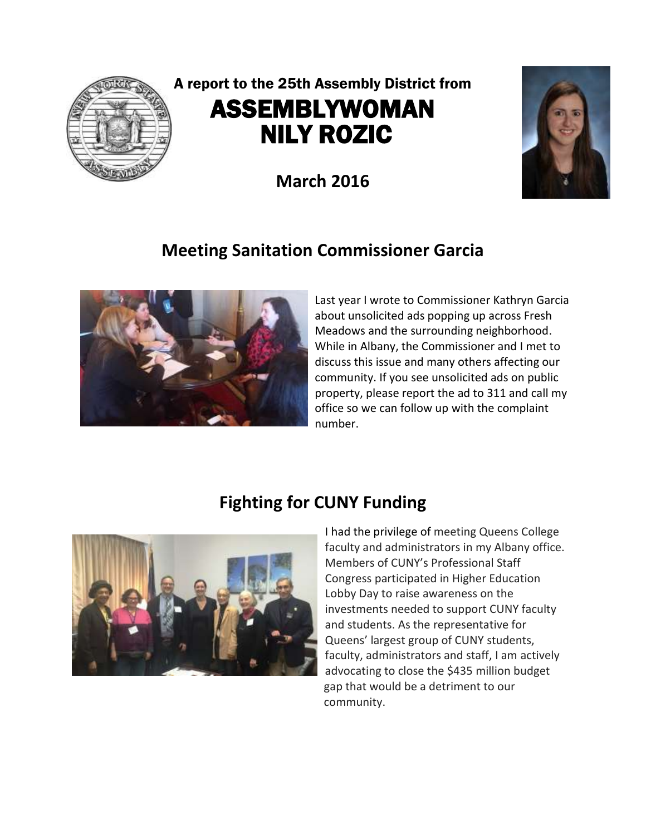

# A report to the 25th Assembly District from ASSEMBLYWOMAN NILY ROZIC

**March 2016**



# **Meeting Sanitation Commissioner Garcia**



Last year I wrote to Commissioner Kathryn Garcia about unsolicited ads popping up across Fresh Meadows and the surrounding neighborhood. While in Albany, the Commissioner and I met to discuss this issue and many others affecting our community. If you see unsolicited ads on public property, please report the ad to 311 and call my office so we can follow up with the complaint number.

## **Fighting for CUNY Funding**



I had the privilege of meeting Queens College faculty and administrators in my Albany office. Members of CUNY's Professional Staff Congress participated in Higher Education Lobby Day to raise awareness on the investments needed to support CUNY faculty and students. As the representative for Queens' largest group of CUNY students, faculty, administrators and staff, I am actively advocating to close the \$435 million budget gap that would be a detriment to our community.